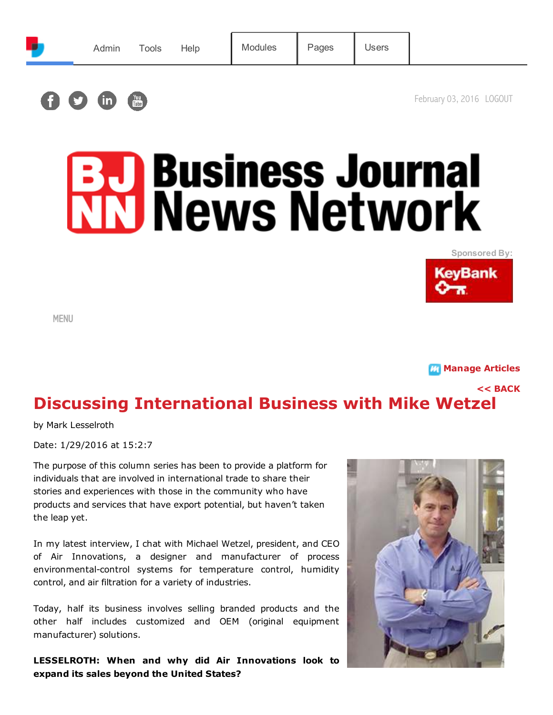

# **B.D. Business Journal<br>NN News Network**





MENU

**M** [Manage Articles](http://www.cnybj.com/News/Articles/tabid/102/ctl/Admin_Dashboard/mid/445/Default.aspx)

[<< BACK](javascript:history.back();)

# Discussing International Business with Mike Wetzel

by Mark Lesselroth

Date: 1/29/2016 at 15:2:7

The purpose of this column series has been to provide a platform for individuals that are involved in international trade to share their stories and experiences with those in the community who have products and services that have export potential, but haven't taken the leap yet.

In my latest interview, I chat with Michael Wetzel, president, and CEO of Air Innovations, a designer and manufacturer of process environmental-control systems for temperature control, humidity control, and air filtration for a variety of industries.

Today, half its business involves selling branded products and the other half includes customized and OEM (original equipment manufacturer) solutions.

LESSELROTH: When and why did Air Innovations look to expand its sales beyond the United States?

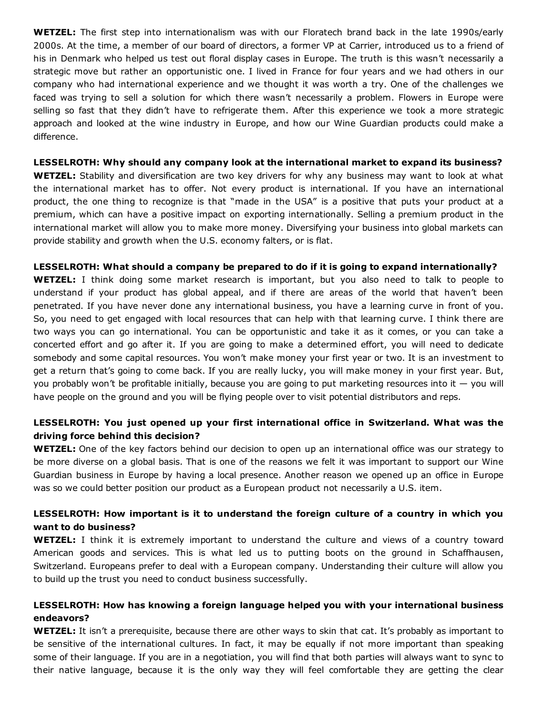WETZEL: The first step into internationalism was with our Floratech brand back in the late 1990s/early 2000s. At the time, a member of our board of directors, a former VP at Carrier, introduced us to a friend of his in Denmark who helped us test out floral display cases in Europe. The truth is this wasn't necessarily a strategic move but rather an opportunistic one. I lived in France for four years and we had others in our company who had international experience and we thought it was worth a try. One of the challenges we faced was trying to sell a solution for which there wasn't necessarily a problem. Flowers in Europe were selling so fast that they didn't have to refrigerate them. After this experience we took a more strategic approach and looked at the wine industry in Europe, and how our Wine Guardian products could make a difference.

LESSELROTH: Why should any company look at the international market to expand its business? **WETZEL:** Stability and diversification are two key drivers for why any business may want to look at what the international market has to offer. Not every product is international. If you have an international product, the one thing to recognize is that "made in the USA" is a positive that puts your product at a premium, which can have a positive impact on exporting internationally. Selling a premium product in the international market will allow you to make more money. Diversifying your business into global markets can provide stability and growth when the U.S. economy falters, or is flat.

### LESSELROTH: What should a company be prepared to do if it is going to expand internationally?

WETZEL: I think doing some market research is important, but you also need to talk to people to understand if your product has global appeal, and if there are areas of the world that haven't been penetrated. If you have never done any international business, you have a learning curve in front of you. So, you need to get engaged with local resources that can help with that learning curve. I think there are two ways you can go international. You can be opportunistic and take it as it comes, or you can take a concerted effort and go after it. If you are going to make a determined effort, you will need to dedicate somebody and some capital resources. You won't make money your first year or two. It is an investment to get a return that's going to come back. If you are really lucky, you will make money in your first year. But, you probably won't be profitable initially, because you are going to put marketing resources into it — you will have people on the ground and you will be flying people over to visit potential distributors and reps.

# LESSELROTH: You just opened up your first international office in Switzerland. What was the driving force behind this decision?

**WETZEL:** One of the key factors behind our decision to open up an international office was our strategy to be more diverse on a global basis. That is one of the reasons we felt it was important to support our Wine Guardian business in Europe by having a local presence. Another reason we opened up an office in Europe was so we could better position our product as a European product not necessarily a U.S. item.

### LESSELROTH: How important is it to understand the foreign culture of a country in which you want to do business?

**WETZEL:** I think it is extremely important to understand the culture and views of a country toward American goods and services. This is what led us to putting boots on the ground in Schaffhausen, Switzerland. Europeans prefer to deal with a European company. Understanding their culture will allow you to build up the trust you need to conduct business successfully.

# LESSELROTH: How has knowing a foreign language helped you with your international business endeavors?

WETZEL: It isn't a prerequisite, because there are other ways to skin that cat. It's probably as important to be sensitive of the international cultures. In fact, it may be equally if not more important than speaking some of their language. If you are in a negotiation, you will find that both parties will always want to sync to their native language, because it is the only way they will feel comfortable they are getting the clear